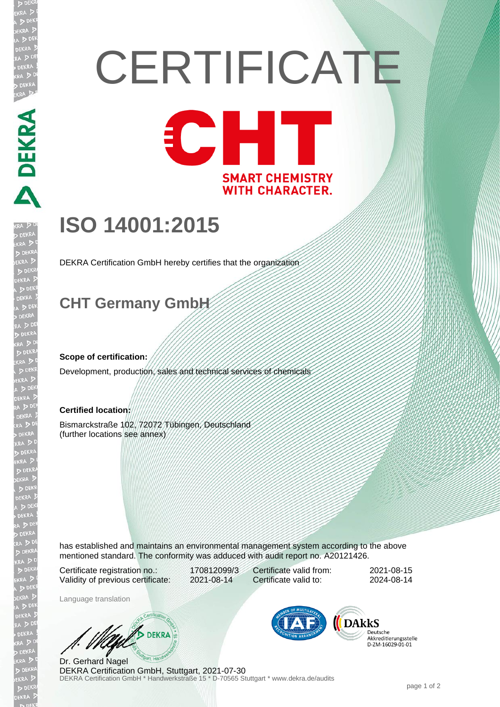# **CERTIFICATE** CHI

**SMART CHEMISTRY WITH CHARACTER.** 

## **ISO 14001:2015**

DEKRA Certification GmbH hereby certifies that the organization

### **CHT Germany GmbH**

#### **Scope of certification:**

DEKRA DEKRA

**JEKR** 

Development, production, sales and technical services of chemicals

#### **Certified location:**

Bismarckstraße 102, 72072 Tübingen, Deutschland (further locations see annex)

has established and maintains an environmental management system according to the above mentioned standard. The conformity was adduced with audit report no. A20121426.

Certificate registration no.: 170812099/3 Validity of previous certificate: 2021-08-14

Certificate valid from: 2021-08-15 Certificate valid to: 2024-08-14

Language translation

**DEKRA** 

DEKRA Certification GmbH \* Handwerkstraße 15 \* D-70565 Stuttgart \* www.dekra.de/audits Dr. Gerhard Nagel DEKRA Certification GmbH, Stuttgart, 2021-07-30



Deutsche Akkreditierungsstelle D-ZM-16029-01-01